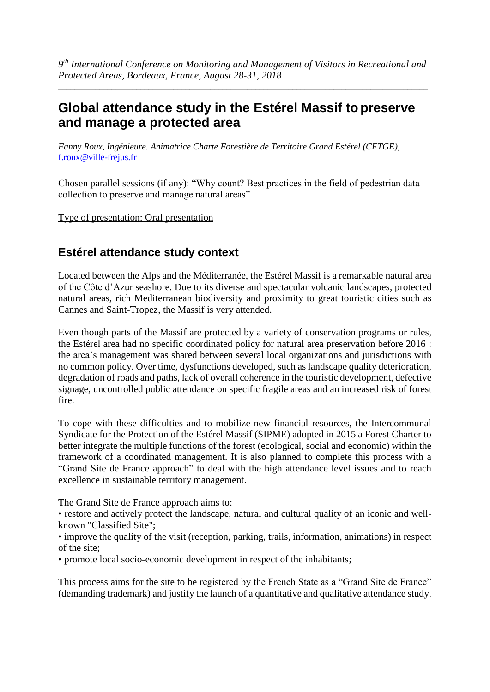*9 th International Conference on Monitoring and Management of Visitors in Recreational and Protected Areas, Bordeaux, France, August 28-31, 2018*

\_\_\_\_\_\_\_\_\_\_\_\_\_\_\_\_\_\_\_\_\_\_\_\_\_\_\_\_\_\_\_\_\_\_\_\_\_\_\_\_\_\_\_\_\_\_\_\_\_\_\_\_\_\_\_\_\_\_\_\_\_\_\_\_\_\_\_\_\_\_\_\_\_\_\_\_\_\_\_\_\_\_\_\_\_\_\_\_\_\_

# **Global attendance study in the Estérel Massif to preserve and manage a protected area**

*Fanny Roux, Ingénieure. Animatrice Charte Forestière de Territoire Grand Estérel (CFTGE),*  [f.roux@ville-frejus.fr](mailto:f.roux@ville-frejus.fr)

Chosen parallel sessions (if any): "Why count? Best practices in the field of pedestrian data collection to preserve and manage natural areas"

Type of presentation: Oral presentation

## **Estérel attendance study context**

Located between the Alps and the Méditerranée, the Estérel Massif is a remarkable natural area of the Côte d'Azur seashore. Due to its diverse and spectacular volcanic landscapes, protected natural areas, rich Mediterranean biodiversity and proximity to great touristic cities such as Cannes and Saint-Tropez, the Massif is very attended.

Even though parts of the Massif are protected by a variety of conservation programs or rules, the Estérel area had no specific coordinated policy for natural area preservation before 2016 : the area's management was shared between several local organizations and jurisdictions with no common policy. Over time, dysfunctions developed, such as landscape quality deterioration, degradation of roads and paths, lack of overall coherence in the touristic development, defective signage, uncontrolled public attendance on specific fragile areas and an increased risk of forest fire.

To cope with these difficulties and to mobilize new financial resources, the Intercommunal Syndicate for the Protection of the Estérel Massif (SIPME) adopted in 2015 a Forest Charter to better integrate the multiple functions of the forest (ecological, social and economic) within the framework of a coordinated management. It is also planned to complete this process with a "Grand Site de France approach" to deal with the high attendance level issues and to reach excellence in sustainable territory management.

The Grand Site de France approach aims to:

• restore and actively protect the landscape, natural and cultural quality of an iconic and wellknown "Classified Site";

• improve the quality of the visit (reception, parking, trails, information, animations) in respect of the site;

• promote local socio-economic development in respect of the inhabitants;

This process aims for the site to be registered by the French State as a "Grand Site de France" (demanding trademark) and justify the launch of a quantitative and qualitative attendance study.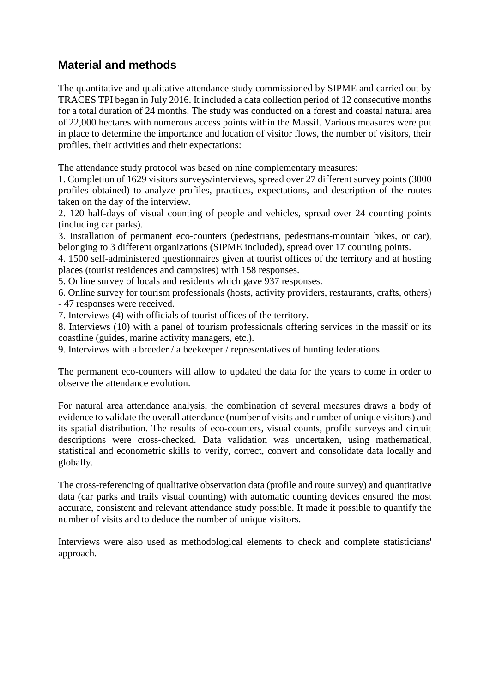## **Material and methods**

The quantitative and qualitative attendance study commissioned by SIPME and carried out by TRACES TPI began in July 2016. It included a data collection period of 12 consecutive months for a total duration of 24 months. The study was conducted on a forest and coastal natural area of 22,000 hectares with numerous access points within the Massif. Various measures were put in place to determine the importance and location of visitor flows, the number of visitors, their profiles, their activities and their expectations:

The attendance study protocol was based on nine complementary measures:

1. Completion of 1629 visitors surveys/interviews, spread over 27 different survey points (3000 profiles obtained) to analyze profiles, practices, expectations, and description of the routes taken on the day of the interview.

2. 120 half-days of visual counting of people and vehicles, spread over 24 counting points (including car parks).

3. Installation of permanent eco-counters (pedestrians, pedestrians-mountain bikes, or car), belonging to 3 different organizations (SIPME included), spread over 17 counting points.

4. 1500 self-administered questionnaires given at tourist offices of the territory and at hosting places (tourist residences and campsites) with 158 responses.

5. Online survey of locals and residents which gave 937 responses.

6. Online survey for tourism professionals (hosts, activity providers, restaurants, crafts, others) - 47 responses were received.

7. Interviews (4) with officials of tourist offices of the territory.

8. Interviews (10) with a panel of tourism professionals offering services in the massif or its coastline (guides, marine activity managers, etc.).

9. Interviews with a breeder / a beekeeper / representatives of hunting federations.

The permanent eco-counters will allow to updated the data for the years to come in order to observe the attendance evolution.

For natural area attendance analysis, the combination of several measures draws a body of evidence to validate the overall attendance (number of visits and number of unique visitors) and its spatial distribution. The results of eco-counters, visual counts, profile surveys and circuit descriptions were cross-checked. Data validation was undertaken, using mathematical, statistical and econometric skills to verify, correct, convert and consolidate data locally and globally.

The cross-referencing of qualitative observation data (profile and route survey) and quantitative data (car parks and trails visual counting) with automatic counting devices ensured the most accurate, consistent and relevant attendance study possible. It made it possible to quantify the number of visits and to deduce the number of unique visitors.

Interviews were also used as methodological elements to check and complete statisticians' approach.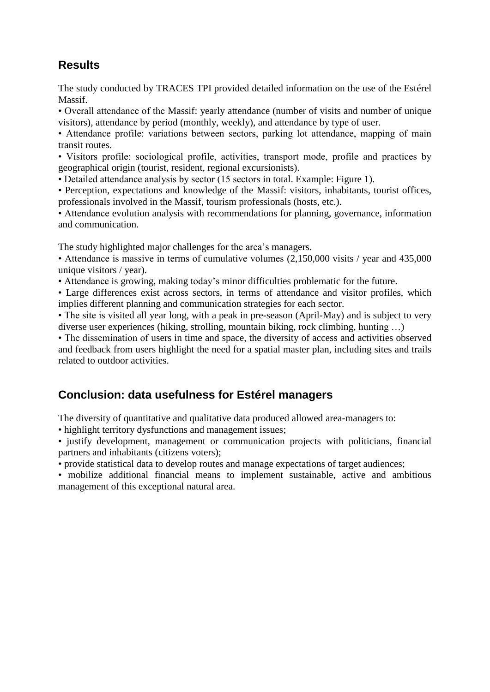# **Results**

The study conducted by TRACES TPI provided detailed information on the use of the Estérel Massif.

• Overall attendance of the Massif: yearly attendance (number of visits and number of unique visitors), attendance by period (monthly, weekly), and attendance by type of user.

• Attendance profile: variations between sectors, parking lot attendance, mapping of main transit routes.

• Visitors profile: sociological profile, activities, transport mode, profile and practices by geographical origin (tourist, resident, regional excursionists).

• Detailed attendance analysis by sector (15 sectors in total. Example: Figure 1).

• Perception, expectations and knowledge of the Massif: visitors, inhabitants, tourist offices, professionals involved in the Massif, tourism professionals (hosts, etc.).

• Attendance evolution analysis with recommendations for planning, governance, information and communication.

The study highlighted major challenges for the area's managers.

• Attendance is massive in terms of cumulative volumes (2,150,000 visits / year and 435,000 unique visitors / year).

• Attendance is growing, making today's minor difficulties problematic for the future.

• Large differences exist across sectors, in terms of attendance and visitor profiles, which implies different planning and communication strategies for each sector.

• The site is visited all year long, with a peak in pre-season (April-May) and is subject to very diverse user experiences (hiking, strolling, mountain biking, rock climbing, hunting …)

• The dissemination of users in time and space, the diversity of access and activities observed and feedback from users highlight the need for a spatial master plan, including sites and trails related to outdoor activities.

## **Conclusion: data usefulness for Estérel managers**

The diversity of quantitative and qualitative data produced allowed area-managers to:

• highlight territory dysfunctions and management issues;

• justify development, management or communication projects with politicians, financial partners and inhabitants (citizens voters);

• provide statistical data to develop routes and manage expectations of target audiences;

• mobilize additional financial means to implement sustainable, active and ambitious management of this exceptional natural area.